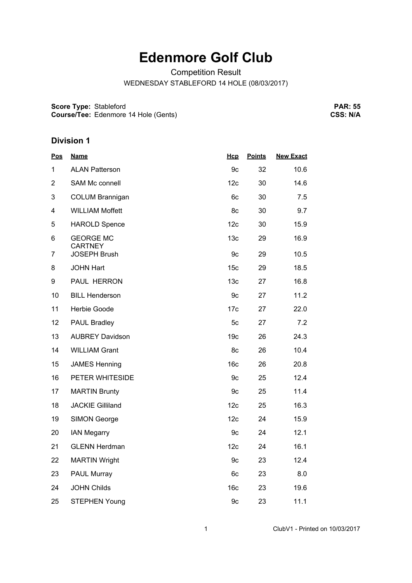## **Edenmore Golf Club**

Competition Result

WEDNESDAY STABLEFORD 14 HOLE (08/03/2017)

**Score Type:** Stableford

**Course/Tee:** Edenmore 14 Hole (Gents)

**PAR: 55 CSS: N/A**

## **Division 1**

| <b>Name</b>             | Hcp             | <b>Points</b> | <b>New Exact</b> |
|-------------------------|-----------------|---------------|------------------|
| <b>ALAN Patterson</b>   | 9c              | 32            | 10.6             |
| SAM Mc connell          | 12c             | 30            | 14.6             |
| <b>COLUM Brannigan</b>  | 6c              | 30            | 7.5              |
| <b>WILLIAM Moffett</b>  | 8c              | 30            | 9.7              |
| <b>HAROLD Spence</b>    | 12c             | 30            | 15.9             |
| <b>GEORGE MC</b>        | 13 <sub>c</sub> | 29            | 16.9             |
| <b>JOSEPH Brush</b>     | 9c              | 29            | 10.5             |
| <b>JOHN Hart</b>        | 15c             | 29            | 18.5             |
| PAUL HERRON             | 13 <sub>c</sub> | 27            | 16.8             |
| <b>BILL Henderson</b>   | 9c              | 27            | 11.2             |
| Herbie Goode            | 17c             | 27            | 22.0             |
| <b>PAUL Bradley</b>     | 5c              | 27            | 7.2              |
| <b>AUBREY Davidson</b>  | 19c             | 26            | 24.3             |
| <b>WILLIAM Grant</b>    | 8c              | 26            | 10.4             |
| <b>JAMES Henning</b>    | 16 <sub>c</sub> | 26            | 20.8             |
| PETER WHITESIDE         | 9c              | 25            | 12.4             |
| <b>MARTIN Brunty</b>    | 9c              | 25            | 11.4             |
| <b>JACKIE Gilliland</b> | 12c             | 25            | 16.3             |
| <b>SIMON George</b>     | 12c             | 24            | 15.9             |
| <b>IAN Megarry</b>      | 9c              | 24            | 12.1             |
| <b>GLENN Herdman</b>    | 12c             | 24            | 16.1             |
| <b>MARTIN Wright</b>    | 9c              | 23            | 12.4             |
| <b>PAUL Murray</b>      | 6c              | 23            | 8.0              |
| <b>JOHN Childs</b>      | 16 <sub>c</sub> | 23            | 19.6             |
| <b>STEPHEN Young</b>    | 9c              | 23            | 11.1             |
|                         | <b>CARTNEY</b>  |               |                  |